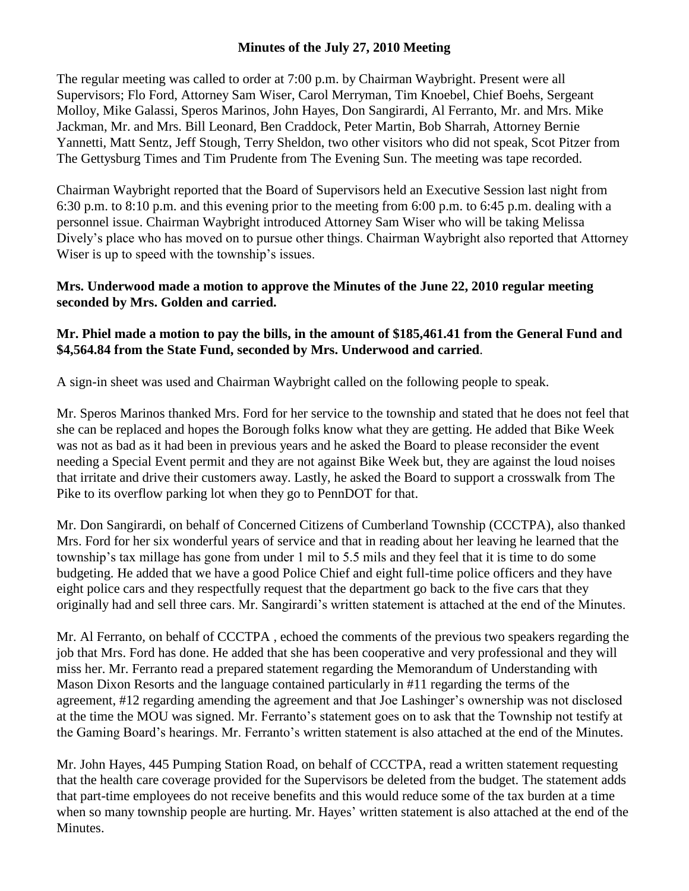# **Minutes of the July 27, 2010 Meeting**

The regular meeting was called to order at 7:00 p.m. by Chairman Waybright. Present were all Supervisors; Flo Ford, Attorney Sam Wiser, Carol Merryman, Tim Knoebel, Chief Boehs, Sergeant Molloy, Mike Galassi, Speros Marinos, John Hayes, Don Sangirardi, Al Ferranto, Mr. and Mrs. Mike Jackman, Mr. and Mrs. Bill Leonard, Ben Craddock, Peter Martin, Bob Sharrah, Attorney Bernie Yannetti, Matt Sentz, Jeff Stough, Terry Sheldon, two other visitors who did not speak, Scot Pitzer from The Gettysburg Times and Tim Prudente from The Evening Sun. The meeting was tape recorded.

Chairman Waybright reported that the Board of Supervisors held an Executive Session last night from 6:30 p.m. to 8:10 p.m. and this evening prior to the meeting from 6:00 p.m. to 6:45 p.m. dealing with a personnel issue. Chairman Waybright introduced Attorney Sam Wiser who will be taking Melissa Dively's place who has moved on to pursue other things. Chairman Waybright also reported that Attorney Wiser is up to speed with the township's issues.

#### **Mrs. Underwood made a motion to approve the Minutes of the June 22, 2010 regular meeting seconded by Mrs. Golden and carried.**

# **Mr. Phiel made a motion to pay the bills, in the amount of \$185,461.41 from the General Fund and \$4,564.84 from the State Fund, seconded by Mrs. Underwood and carried**.

A sign-in sheet was used and Chairman Waybright called on the following people to speak.

Mr. Speros Marinos thanked Mrs. Ford for her service to the township and stated that he does not feel that she can be replaced and hopes the Borough folks know what they are getting. He added that Bike Week was not as bad as it had been in previous years and he asked the Board to please reconsider the event needing a Special Event permit and they are not against Bike Week but, they are against the loud noises that irritate and drive their customers away. Lastly, he asked the Board to support a crosswalk from The Pike to its overflow parking lot when they go to PennDOT for that.

Mr. Don Sangirardi, on behalf of Concerned Citizens of Cumberland Township (CCCTPA), also thanked Mrs. Ford for her six wonderful years of service and that in reading about her leaving he learned that the township's tax millage has gone from under 1 mil to 5.5 mils and they feel that it is time to do some budgeting. He added that we have a good Police Chief and eight full-time police officers and they have eight police cars and they respectfully request that the department go back to the five cars that they originally had and sell three cars. Mr. Sangirardi's written statement is attached at the end of the Minutes.

Mr. Al Ferranto, on behalf of CCCTPA , echoed the comments of the previous two speakers regarding the job that Mrs. Ford has done. He added that she has been cooperative and very professional and they will miss her. Mr. Ferranto read a prepared statement regarding the Memorandum of Understanding with Mason Dixon Resorts and the language contained particularly in #11 regarding the terms of the agreement, #12 regarding amending the agreement and that Joe Lashinger's ownership was not disclosed at the time the MOU was signed. Mr. Ferranto's statement goes on to ask that the Township not testify at the Gaming Board's hearings. Mr. Ferranto's written statement is also attached at the end of the Minutes.

Mr. John Hayes, 445 Pumping Station Road, on behalf of CCCTPA, read a written statement requesting that the health care coverage provided for the Supervisors be deleted from the budget. The statement adds that part-time employees do not receive benefits and this would reduce some of the tax burden at a time when so many township people are hurting. Mr. Hayes' written statement is also attached at the end of the Minutes.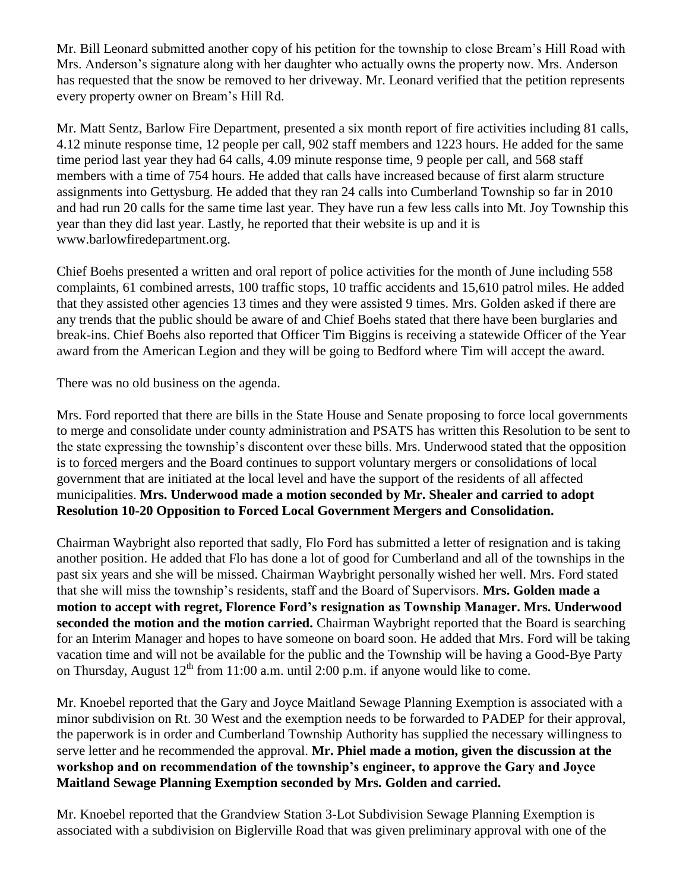Mr. Bill Leonard submitted another copy of his petition for the township to close Bream's Hill Road with Mrs. Anderson's signature along with her daughter who actually owns the property now. Mrs. Anderson has requested that the snow be removed to her driveway. Mr. Leonard verified that the petition represents every property owner on Bream's Hill Rd.

Mr. Matt Sentz, Barlow Fire Department, presented a six month report of fire activities including 81 calls, 4.12 minute response time, 12 people per call, 902 staff members and 1223 hours. He added for the same time period last year they had 64 calls, 4.09 minute response time, 9 people per call, and 568 staff members with a time of 754 hours. He added that calls have increased because of first alarm structure assignments into Gettysburg. He added that they ran 24 calls into Cumberland Township so far in 2010 and had run 20 calls for the same time last year. They have run a few less calls into Mt. Joy Township this year than they did last year. Lastly, he reported that their website is up and it is www.barlowfiredepartment.org.

Chief Boehs presented a written and oral report of police activities for the month of June including 558 complaints, 61 combined arrests, 100 traffic stops, 10 traffic accidents and 15,610 patrol miles. He added that they assisted other agencies 13 times and they were assisted 9 times. Mrs. Golden asked if there are any trends that the public should be aware of and Chief Boehs stated that there have been burglaries and break-ins. Chief Boehs also reported that Officer Tim Biggins is receiving a statewide Officer of the Year award from the American Legion and they will be going to Bedford where Tim will accept the award.

There was no old business on the agenda.

Mrs. Ford reported that there are bills in the State House and Senate proposing to force local governments to merge and consolidate under county administration and PSATS has written this Resolution to be sent to the state expressing the township's discontent over these bills. Mrs. Underwood stated that the opposition is to forced mergers and the Board continues to support voluntary mergers or consolidations of local government that are initiated at the local level and have the support of the residents of all affected municipalities. **Mrs. Underwood made a motion seconded by Mr. Shealer and carried to adopt Resolution 10-20 Opposition to Forced Local Government Mergers and Consolidation.**

Chairman Waybright also reported that sadly, Flo Ford has submitted a letter of resignation and is taking another position. He added that Flo has done a lot of good for Cumberland and all of the townships in the past six years and she will be missed. Chairman Waybright personally wished her well. Mrs. Ford stated that she will miss the township's residents, staff and the Board of Supervisors. **Mrs. Golden made a motion to accept with regret, Florence Ford's resignation as Township Manager. Mrs. Underwood seconded the motion and the motion carried.** Chairman Waybright reported that the Board is searching for an Interim Manager and hopes to have someone on board soon. He added that Mrs. Ford will be taking vacation time and will not be available for the public and the Township will be having a Good-Bye Party on Thursday, August  $12<sup>th</sup>$  from 11:00 a.m. until 2:00 p.m. if anyone would like to come.

Mr. Knoebel reported that the Gary and Joyce Maitland Sewage Planning Exemption is associated with a minor subdivision on Rt. 30 West and the exemption needs to be forwarded to PADEP for their approval, the paperwork is in order and Cumberland Township Authority has supplied the necessary willingness to serve letter and he recommended the approval. **Mr. Phiel made a motion, given the discussion at the workshop and on recommendation of the township's engineer, to approve the Gary and Joyce Maitland Sewage Planning Exemption seconded by Mrs. Golden and carried.**

Mr. Knoebel reported that the Grandview Station 3-Lot Subdivision Sewage Planning Exemption is associated with a subdivision on Biglerville Road that was given preliminary approval with one of the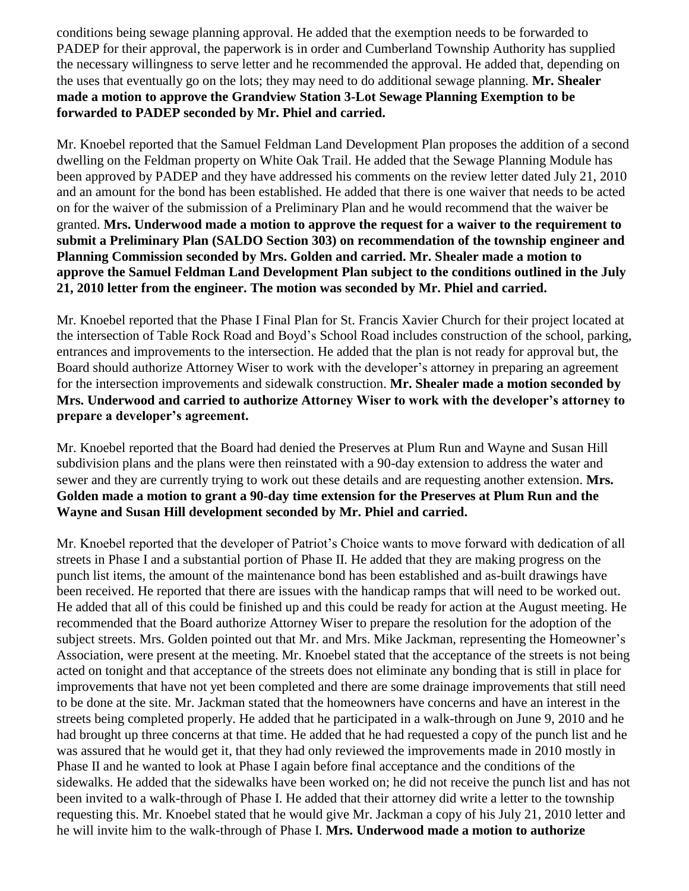conditions being sewage planning approval. He added that the exemption needs to be forwarded to PADEP for their approval, the paperwork is in order and Cumberland Township Authority has supplied the necessary willingness to serve letter and he recommended the approval. He added that, depending on the uses that eventually go on the lots; they may need to do additional sewage planning. **Mr. Shealer made a motion to approve the Grandview Station 3-Lot Sewage Planning Exemption to be forwarded to PADEP seconded by Mr. Phiel and carried.**

Mr. Knoebel reported that the Samuel Feldman Land Development Plan proposes the addition of a second dwelling on the Feldman property on White Oak Trail. He added that the Sewage Planning Module has been approved by PADEP and they have addressed his comments on the review letter dated July 21, 2010 and an amount for the bond has been established. He added that there is one waiver that needs to be acted on for the waiver of the submission of a Preliminary Plan and he would recommend that the waiver be granted. **Mrs. Underwood made a motion to approve the request for a waiver to the requirement to submit a Preliminary Plan (SALDO Section 303) on recommendation of the township engineer and Planning Commission seconded by Mrs. Golden and carried. Mr. Shealer made a motion to approve the Samuel Feldman Land Development Plan subject to the conditions outlined in the July 21, 2010 letter from the engineer. The motion was seconded by Mr. Phiel and carried.**

Mr. Knoebel reported that the Phase I Final Plan for St. Francis Xavier Church for their project located at the intersection of Table Rock Road and Boyd's School Road includes construction of the school, parking, entrances and improvements to the intersection. He added that the plan is not ready for approval but, the Board should authorize Attorney Wiser to work with the developer's attorney in preparing an agreement for the intersection improvements and sidewalk construction. **Mr. Shealer made a motion seconded by Mrs. Underwood and carried to authorize Attorney Wiser to work with the developer's attorney to prepare a developer's agreement.** 

Mr. Knoebel reported that the Board had denied the Preserves at Plum Run and Wayne and Susan Hill subdivision plans and the plans were then reinstated with a 90-day extension to address the water and sewer and they are currently trying to work out these details and are requesting another extension. **Mrs. Golden made a motion to grant a 90-day time extension for the Preserves at Plum Run and the Wayne and Susan Hill development seconded by Mr. Phiel and carried.**

Mr. Knoebel reported that the developer of Patriot's Choice wants to move forward with dedication of all streets in Phase I and a substantial portion of Phase II. He added that they are making progress on the punch list items, the amount of the maintenance bond has been established and as-built drawings have been received. He reported that there are issues with the handicap ramps that will need to be worked out. He added that all of this could be finished up and this could be ready for action at the August meeting. He recommended that the Board authorize Attorney Wiser to prepare the resolution for the adoption of the subject streets. Mrs. Golden pointed out that Mr. and Mrs. Mike Jackman, representing the Homeowner's Association, were present at the meeting. Mr. Knoebel stated that the acceptance of the streets is not being acted on tonight and that acceptance of the streets does not eliminate any bonding that is still in place for improvements that have not yet been completed and there are some drainage improvements that still need to be done at the site. Mr. Jackman stated that the homeowners have concerns and have an interest in the streets being completed properly. He added that he participated in a walk-through on June 9, 2010 and he had brought up three concerns at that time. He added that he had requested a copy of the punch list and he was assured that he would get it, that they had only reviewed the improvements made in 2010 mostly in Phase II and he wanted to look at Phase I again before final acceptance and the conditions of the sidewalks. He added that the sidewalks have been worked on; he did not receive the punch list and has not been invited to a walk-through of Phase I. He added that their attorney did write a letter to the township requesting this. Mr. Knoebel stated that he would give Mr. Jackman a copy of his July 21, 2010 letter and he will invite him to the walk-through of Phase I. **Mrs. Underwood made a motion to authorize**